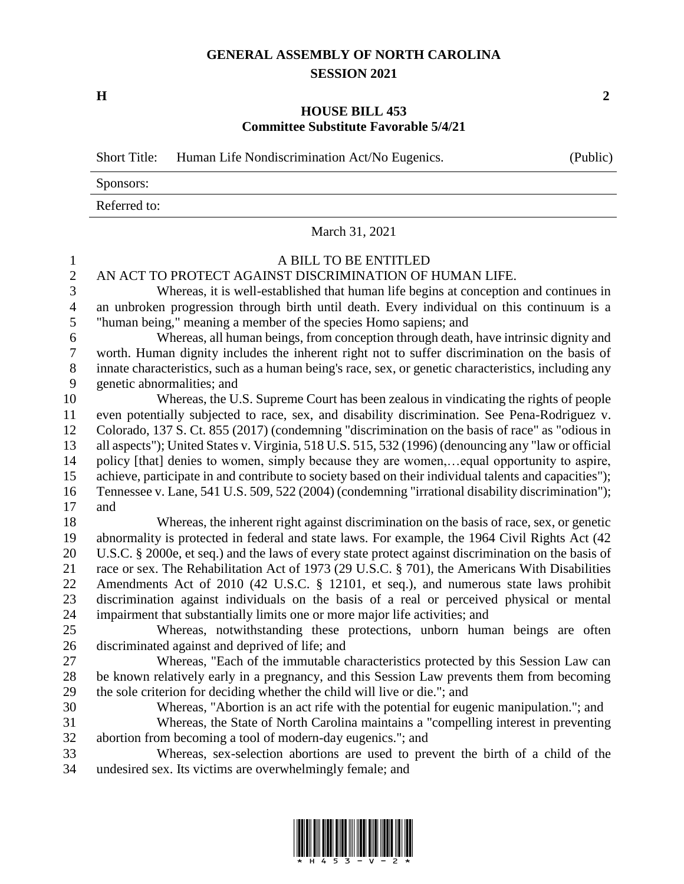## **GENERAL ASSEMBLY OF NORTH CAROLINA SESSION 2021**

**H 2**

## **HOUSE BILL 453 Committee Substitute Favorable 5/4/21**

|                | <b>Short Title:</b><br>Human Life Nondiscrimination Act/No Eugenics.<br>(Public)                                                     |
|----------------|--------------------------------------------------------------------------------------------------------------------------------------|
|                | Sponsors:                                                                                                                            |
|                | Referred to:                                                                                                                         |
|                | March 31, 2021                                                                                                                       |
| $\mathbf{1}$   | A BILL TO BE ENTITLED                                                                                                                |
| $\overline{2}$ | AN ACT TO PROTECT AGAINST DISCRIMINATION OF HUMAN LIFE.                                                                              |
| 3              | Whereas, it is well-established that human life begins at conception and continues in                                                |
| $\overline{4}$ | an unbroken progression through birth until death. Every individual on this continuum is a                                           |
| 5              | "human being," meaning a member of the species Homo sapiens; and                                                                     |
| 6              | Whereas, all human beings, from conception through death, have intrinsic dignity and                                                 |
| $\tau$         | worth. Human dignity includes the inherent right not to suffer discrimination on the basis of                                        |
| $8\,$          | innate characteristics, such as a human being's race, sex, or genetic characteristics, including any                                 |
| 9              | genetic abnormalities; and                                                                                                           |
| 10             | Whereas, the U.S. Supreme Court has been zealous in vindicating the rights of people                                                 |
| 11             | even potentially subjected to race, sex, and disability discrimination. See Pena-Rodriguez v.                                        |
| 12             | Colorado, 137 S. Ct. 855 (2017) (condemning "discrimination on the basis of race" as "odious in                                      |
| 13             | all aspects"); United States v. Virginia, 518 U.S. 515, 532 (1996) (denouncing any "law or official                                  |
| 14             | policy [that] denies to women, simply because they are women,equal opportunity to aspire,                                            |
| 15             | achieve, participate in and contribute to society based on their individual talents and capacities");                                |
| 16             | Tennessee v. Lane, 541 U.S. 509, 522 (2004) (condemning "irrational disability discrimination");                                     |
| 17             | and                                                                                                                                  |
| 18             | Whereas, the inherent right against discrimination on the basis of race, sex, or genetic                                             |
| 19             | abnormality is protected in federal and state laws. For example, the 1964 Civil Rights Act (42                                       |
| 20             | U.S.C. § 2000e, et seq.) and the laws of every state protect against discrimination on the basis of                                  |
| 21             | race or sex. The Rehabilitation Act of 1973 (29 U.S.C. § 701), the Americans With Disabilities                                       |
| 22             | Amendments Act of 2010 (42 U.S.C. § 12101, et seq.), and numerous state laws prohibit                                                |
| 23             | discrimination against individuals on the basis of a real or perceived physical or mental                                            |
| 24<br>25       | impairment that substantially limits one or more major life activities; and                                                          |
|                | Whereas, notwithstanding these protections, unborn human beings are often                                                            |
| 26<br>27       | discriminated against and deprived of life; and<br>Whereas, "Each of the immutable characteristics protected by this Session Law can |
| 28             | be known relatively early in a pregnancy, and this Session Law prevents them from becoming                                           |
| 29             | the sole criterion for deciding whether the child will live or die."; and                                                            |
| 30             | Whereas, "Abortion is an act rife with the potential for eugenic manipulation."; and                                                 |
| 31             | Whereas, the State of North Carolina maintains a "compelling interest in preventing                                                  |
| 32             | abortion from becoming a tool of modern-day eugenics."; and                                                                          |
| 33             | Whereas, sex-selection abortions are used to prevent the birth of a child of the                                                     |
| 34             | undesired sex. Its victims are overwhelmingly female; and                                                                            |

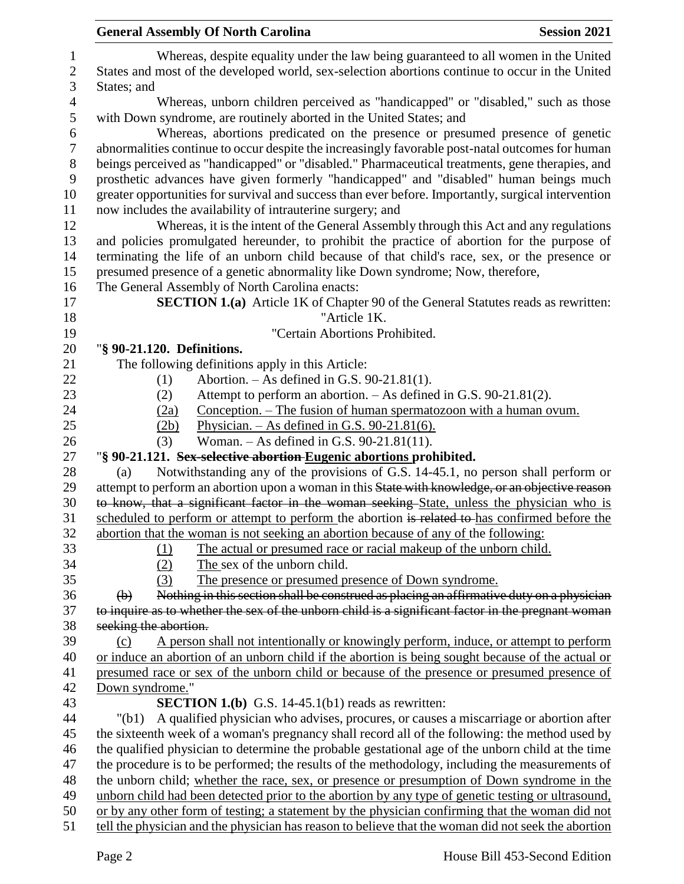|                | <b>General Assembly Of North Carolina</b><br><b>Session 2021</b>                                                                                                                                 |
|----------------|--------------------------------------------------------------------------------------------------------------------------------------------------------------------------------------------------|
| $\mathbf{1}$   | Whereas, despite equality under the law being guaranteed to all women in the United                                                                                                              |
| $\overline{c}$ | States and most of the developed world, sex-selection abortions continue to occur in the United                                                                                                  |
| 3              | States; and                                                                                                                                                                                      |
| $\overline{4}$ | Whereas, unborn children perceived as "handicapped" or "disabled," such as those                                                                                                                 |
| 5              | with Down syndrome, are routinely aborted in the United States; and                                                                                                                              |
| $\sqrt{6}$     | Whereas, abortions predicated on the presence or presumed presence of genetic                                                                                                                    |
|                | abnormalities continue to occur despite the increasingly favorable post-natal outcomes for human                                                                                                 |
|                | beings perceived as "handicapped" or "disabled." Pharmaceutical treatments, gene therapies, and                                                                                                  |
|                | prosthetic advances have given formerly "handicapped" and "disabled" human beings much                                                                                                           |
|                | greater opportunities for survival and success than ever before. Importantly, surgical intervention                                                                                              |
|                | now includes the availability of intrauterine surgery; and                                                                                                                                       |
|                | Whereas, it is the intent of the General Assembly through this Act and any regulations                                                                                                           |
|                | and policies promulgated hereunder, to prohibit the practice of abortion for the purpose of                                                                                                      |
|                | terminating the life of an unborn child because of that child's race, sex, or the presence or                                                                                                    |
|                | presumed presence of a genetic abnormality like Down syndrome; Now, therefore,                                                                                                                   |
|                | The General Assembly of North Carolina enacts:                                                                                                                                                   |
|                | <b>SECTION 1.(a)</b> Article 1K of Chapter 90 of the General Statutes reads as rewritten:                                                                                                        |
|                | "Article 1K.                                                                                                                                                                                     |
|                | "Certain Abortions Prohibited.                                                                                                                                                                   |
|                | "§ 90-21.120. Definitions.                                                                                                                                                                       |
|                | The following definitions apply in this Article:                                                                                                                                                 |
|                | Abortion. $-$ As defined in G.S. 90-21.81(1).<br>(1)                                                                                                                                             |
|                | Attempt to perform an abortion. – As defined in G.S. 90-21.81(2).<br>(2)                                                                                                                         |
|                | <u>Conception. – The fusion of human spermatozoon with a human ovum.</u><br>(2a)                                                                                                                 |
|                | Physician. $-$ As defined in G.S. 90-21.81(6).<br>(2b)                                                                                                                                           |
|                | Woman. $-$ As defined in G.S. 90-21.81(11).<br>(3)                                                                                                                                               |
|                | "§ 90-21.121. Sex-selective abortion Eugenic abortions prohibited.                                                                                                                               |
|                | Notwithstanding any of the provisions of G.S. 14-45.1, no person shall perform or<br>(a)                                                                                                         |
|                | attempt to perform an abortion upon a woman in this State with knowledge, or an objective reason                                                                                                 |
|                | to know, that a significant factor in the woman seeking State, unless the physician who is                                                                                                       |
|                | scheduled to perform or attempt to perform the abortion is related to has confirmed before the                                                                                                   |
|                | abortion that the woman is not seeking an abortion because of any of the following:                                                                                                              |
|                | The actual or presumed race or racial makeup of the unborn child.<br>(1)                                                                                                                         |
|                | (2)<br>The sex of the unborn child.                                                                                                                                                              |
|                | (3)<br>The presence or presumed presence of Down syndrome.                                                                                                                                       |
|                | Nothing in this section shall be construed as placing an affirmative duty on a physician<br>$\Theta$                                                                                             |
|                | to inquire as to whether the sex of the unborn child is a significant factor in the pregnant woman                                                                                               |
|                | seeking the abortion.                                                                                                                                                                            |
|                | A person shall not intentionally or knowingly perform, induce, or attempt to perform<br>(c)<br>or induce an abortion of an unborn child if the abortion is being sought because of the actual or |
|                | presumed race or sex of the unborn child or because of the presence or presumed presence of                                                                                                      |
|                | Down syndrome."                                                                                                                                                                                  |
|                | <b>SECTION 1.(b)</b> G.S. 14-45.1(b1) reads as rewritten:                                                                                                                                        |
|                | A qualified physician who advises, procures, or causes a miscarriage or abortion after<br>"(b1)                                                                                                  |
|                | the sixteenth week of a woman's pregnancy shall record all of the following: the method used by                                                                                                  |
|                | the qualified physician to determine the probable gestational age of the unborn child at the time                                                                                                |
|                | the procedure is to be performed; the results of the methodology, including the measurements of                                                                                                  |
|                | the unborn child; whether the race, sex, or presence or presumption of Down syndrome in the                                                                                                      |
|                | unborn child had been detected prior to the abortion by any type of genetic testing or ultrasound,                                                                                               |
|                | or by any other form of testing; a statement by the physician confirming that the woman did not                                                                                                  |
|                | tell the physician and the physician has reason to believe that the woman did not seek the abortion                                                                                              |